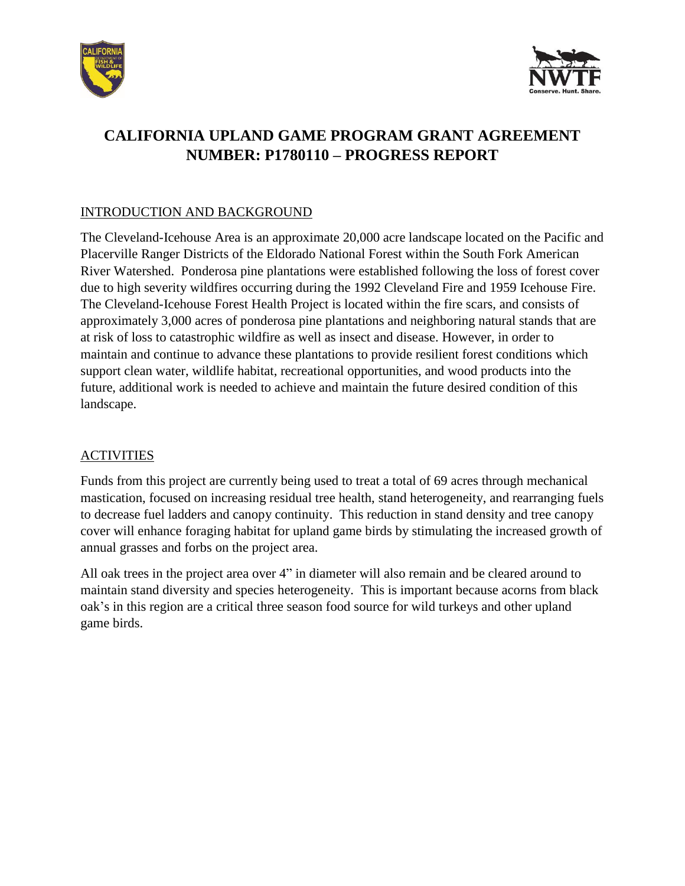



# **CALIFORNIA UPLAND GAME PROGRAM GRANT AGREEMENT NUMBER: P1780110 – PROGRESS REPORT**

#### INTRODUCTION AND BACKGROUND

The Cleveland-Icehouse Area is an approximate 20,000 acre landscape located on the Pacific and Placerville Ranger Districts of the Eldorado National Forest within the South Fork American River Watershed. Ponderosa pine plantations were established following the loss of forest cover due to high severity wildfires occurring during the 1992 Cleveland Fire and 1959 Icehouse Fire. The Cleveland-Icehouse Forest Health Project is located within the fire scars, and consists of approximately 3,000 acres of ponderosa pine plantations and neighboring natural stands that are at risk of loss to catastrophic wildfire as well as insect and disease. However, in order to maintain and continue to advance these plantations to provide resilient forest conditions which support clean water, wildlife habitat, recreational opportunities, and wood products into the future, additional work is needed to achieve and maintain the future desired condition of this landscape.

## ACTIVITIES

Funds from this project are currently being used to treat a total of 69 acres through mechanical mastication, focused on increasing residual tree health, stand heterogeneity, and rearranging fuels to decrease fuel ladders and canopy continuity. This reduction in stand density and tree canopy cover will enhance foraging habitat for upland game birds by stimulating the increased growth of annual grasses and forbs on the project area.

All oak trees in the project area over 4" in diameter will also remain and be cleared around to maintain stand diversity and species heterogeneity. This is important because acorns from black oak's in this region are a critical three season food source for wild turkeys and other upland game birds.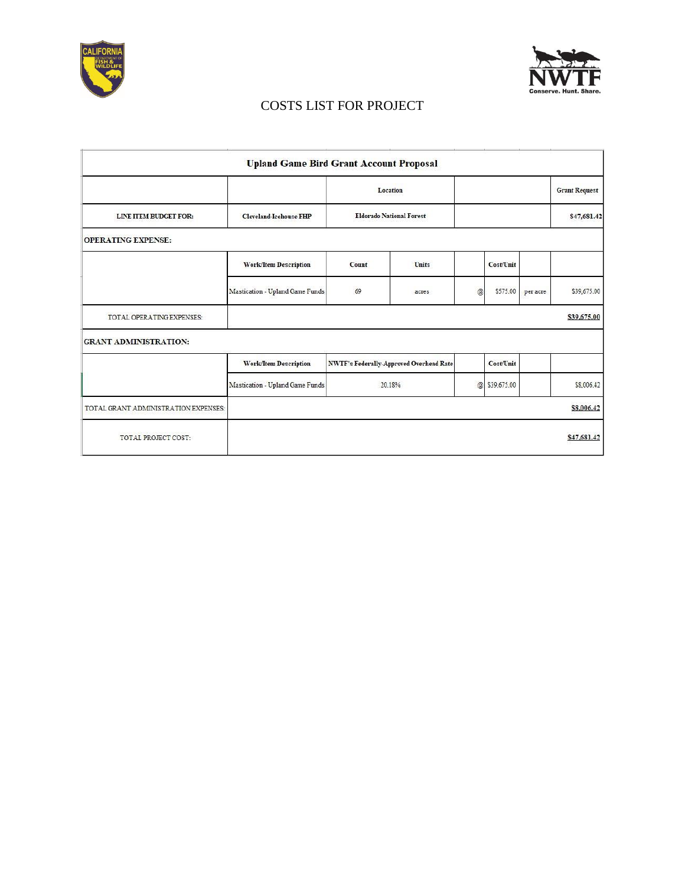



## COSTS LIST FOR PROJECT

|                                      | <b>Upland Game Bird Grant Account Proposal</b> |                                                |              |             |             |          |                      |
|--------------------------------------|------------------------------------------------|------------------------------------------------|--------------|-------------|-------------|----------|----------------------|
|                                      |                                                | Location<br><b>Eldorado National Forest</b>    |              |             |             |          | <b>Grant Request</b> |
| LINE ITEM BUDGET FOR:                | <b>Cleveland-Icehouse FHP</b>                  |                                                |              |             |             |          | \$47,681.42          |
| <b>OPERATING EXPENSE:</b>            |                                                |                                                |              |             |             |          |                      |
|                                      | <b>Work/Item Description</b>                   | Count                                          | <b>Units</b> |             | Cost/Unit   |          |                      |
|                                      | Mastication - Upland Game Funds                | 69                                             | acres        | $\circleda$ | \$575.00    | per acre | \$39,675.00          |
| TOTAL OPERATING EXPENSES:            |                                                |                                                |              |             |             |          | \$39,675.00          |
| <b>GRANT ADMINISTRATION:</b>         |                                                |                                                |              |             |             |          |                      |
|                                      | <b>Work/Item Description</b>                   | <b>NWTF's Federally-Approved Overhead Rate</b> |              |             | Cost/Unit   |          |                      |
|                                      | Mastication - Upland Game Funds                | 20.18%                                         |              | $\circledR$ | \$39,675.00 |          | \$8,006.42           |
| TOTAL GRANT ADMINISTRATION EXPENSES: |                                                |                                                |              |             |             |          | \$8,006.42           |
| TOTAL PROJECT COST:                  |                                                |                                                |              |             |             |          | \$47,681.42          |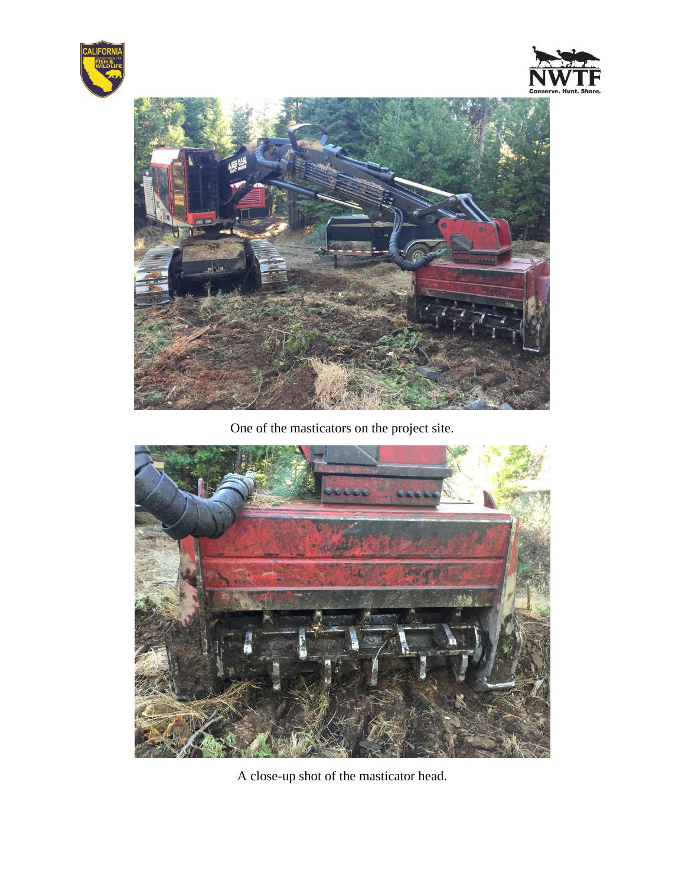





One of the masticators on the project site.



A close-up shot of the masticator head.